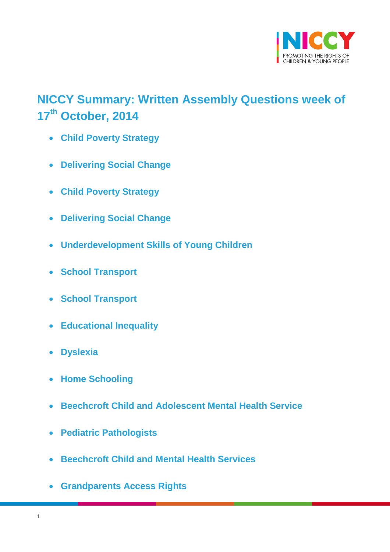

# <span id="page-0-0"></span>**NICCY Summary: Written Assembly Questions week of 17 th October, 2014**

- **[Child Poverty Strategy](#page-1-0)**
- **[Delivering Social Change](#page-1-1)**
- **[Child Poverty Strategy](#page-1-2)**
- **[Delivering Social Change](#page-2-0)**
- **[Underdevelopment Skills of Young Children](#page-3-0)**
- **[School Transport](#page-4-0)**
- **[School Transport](#page-5-0)**
- **[Educational Inequality](#page-5-1)**
- **[Dyslexia](#page-7-0)**
- **[Home Schooling](#page-8-0)**
- **[Beechcroft Child and Adolescent Mental Health Service](#page-10-0)**
- **[Pediatric Pathologists](#page-12-0)**
- **[Beechcroft Child and Mental Health Services](#page-12-1)**
- **[Grandparents Access Rights](#page-13-0)**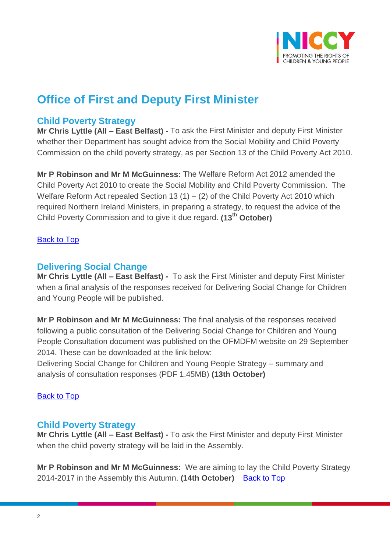

## **Office of First and Deputy First Minister**

### <span id="page-1-0"></span>**Child Poverty Strategy**

**Mr Chris Lyttle (All – East Belfast) -** To ask the First Minister and deputy First Minister whether their Department has sought advice from the Social Mobility and Child Poverty Commission on the child poverty strategy, as per Section 13 of the Child Poverty Act 2010.

**Mr P Robinson and Mr M McGuinness:** The Welfare Reform Act 2012 amended the Child Poverty Act 2010 to create the Social Mobility and Child Poverty Commission. The Welfare Reform Act repealed Section 13 (1) – (2) of the Child Poverty Act 2010 which required Northern Ireland Ministers, in preparing a strategy, to request the advice of the Child Poverty Commission and to give it due regard. **(13th October)**

#### **[Back to Top](#page-0-0)**

#### <span id="page-1-1"></span>**Delivering Social Change**

**Mr Chris Lyttle (All – East Belfast) -** To ask the First Minister and deputy First Minister when a final analysis of the responses received for Delivering Social Change for Children and Young People will be published.

**Mr P Robinson and Mr M McGuinness:** The final analysis of the responses received following a public consultation of the Delivering Social Change for Children and Young People Consultation document was published on the OFMDFM website on 29 September 2014. These can be downloaded at the link below:

Delivering Social Change for Children and Young People Strategy – summary and analysis of consultation responses (PDF 1.45MB) **(13th October)**

#### [Back to Top](#page-0-0)

#### <span id="page-1-2"></span>**Child Poverty Strategy**

**Mr Chris Lyttle (All – East Belfast) -** To ask the First Minister and deputy First Minister when the child poverty strategy will be laid in the Assembly.

**Mr P Robinson and Mr M McGuinness:** We are aiming to lay the Child Poverty Strategy 2014-2017 in the Assembly this Autumn. **(14th October)** [Back to Top](#page-0-0)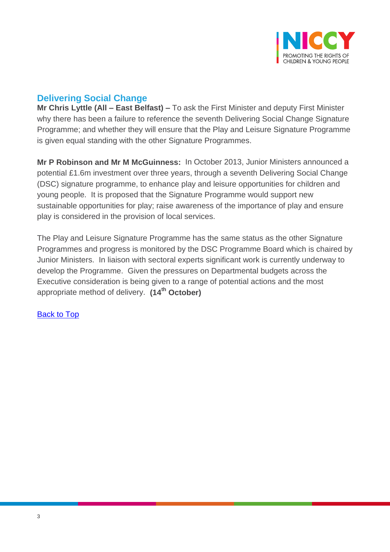

## <span id="page-2-0"></span>**Delivering Social Change**

**Mr Chris Lyttle (All – East Belfast) –** To ask the First Minister and deputy First Minister why there has been a failure to reference the seventh Delivering Social Change Signature Programme; and whether they will ensure that the Play and Leisure Signature Programme is given equal standing with the other Signature Programmes.

**Mr P Robinson and Mr M McGuinness:** In October 2013, Junior Ministers announced a potential £1.6m investment over three years, through a seventh Delivering Social Change (DSC) signature programme, to enhance play and leisure opportunities for children and young people. It is proposed that the Signature Programme would support new sustainable opportunities for play; raise awareness of the importance of play and ensure play is considered in the provision of local services.

The Play and Leisure Signature Programme has the same status as the other Signature Programmes and progress is monitored by the DSC Programme Board which is chaired by Junior Ministers. In liaison with sectoral experts significant work is currently underway to develop the Programme. Given the pressures on Departmental budgets across the Executive consideration is being given to a range of potential actions and the most appropriate method of delivery. **(14th October)**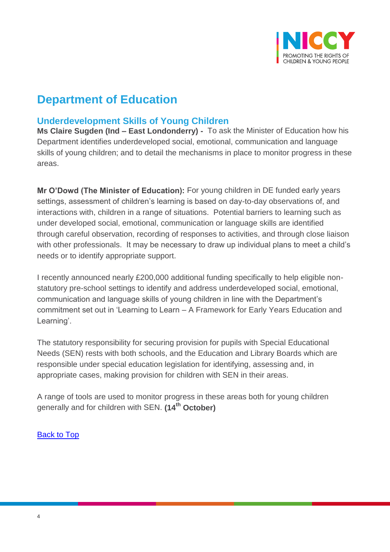

## **Department of Education**

### <span id="page-3-0"></span>**Underdevelopment Skills of Young Children**

**Ms Claire Sugden (Ind – East Londonderry) -** To ask the Minister of Education how his Department identifies underdeveloped social, emotional, communication and language skills of young children; and to detail the mechanisms in place to monitor progress in these areas.

**Mr O'Dowd (The Minister of Education):** For young children in DE funded early years settings, assessment of children's learning is based on day-to-day observations of, and interactions with, children in a range of situations. Potential barriers to learning such as under developed social, emotional, communication or language skills are identified through careful observation, recording of responses to activities, and through close liaison with other professionals. It may be necessary to draw up individual plans to meet a child's needs or to identify appropriate support.

I recently announced nearly £200,000 additional funding specifically to help eligible nonstatutory pre-school settings to identify and address underdeveloped social, emotional, communication and language skills of young children in line with the Department's commitment set out in 'Learning to Learn – A Framework for Early Years Education and Learning'.

The statutory responsibility for securing provision for pupils with Special Educational Needs (SEN) rests with both schools, and the Education and Library Boards which are responsible under special education legislation for identifying, assessing and, in appropriate cases, making provision for children with SEN in their areas.

A range of tools are used to monitor progress in these areas both for young children generally and for children with SEN. **(14th October)**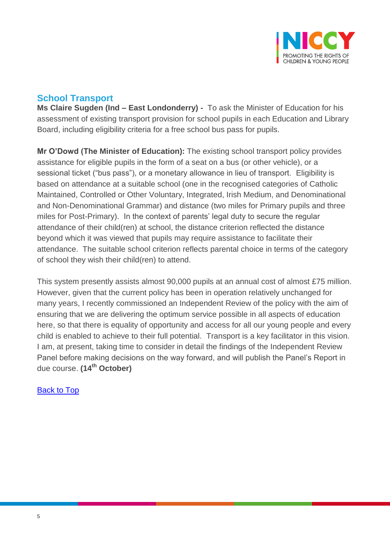

## <span id="page-4-0"></span>**School Transport**

**Ms Claire Sugden (Ind – East Londonderry) -** To ask the Minister of Education for his assessment of existing transport provision for school pupils in each Education and Library Board, including eligibility criteria for a free school bus pass for pupils.

**Mr O'Dowd (The Minister of Education):** The existing school transport policy provides assistance for eligible pupils in the form of a seat on a bus (or other vehicle), or a sessional ticket ("bus pass"), or a monetary allowance in lieu of transport. Eligibility is based on attendance at a suitable school (one in the recognised categories of Catholic Maintained, Controlled or Other Voluntary, Integrated, Irish Medium, and Denominational and Non-Denominational Grammar) and distance (two miles for Primary pupils and three miles for Post-Primary). In the context of parents' legal duty to secure the regular attendance of their child(ren) at school, the distance criterion reflected the distance beyond which it was viewed that pupils may require assistance to facilitate their attendance. The suitable school criterion reflects parental choice in terms of the category of school they wish their child(ren) to attend.

This system presently assists almost 90,000 pupils at an annual cost of almost £75 million. However, given that the current policy has been in operation relatively unchanged for many years, I recently commissioned an Independent Review of the policy with the aim of ensuring that we are delivering the optimum service possible in all aspects of education here, so that there is equality of opportunity and access for all our young people and every child is enabled to achieve to their full potential. Transport is a key facilitator in this vision. I am, at present, taking time to consider in detail the findings of the Independent Review Panel before making decisions on the way forward, and will publish the Panel's Report in due course. **(14th October)**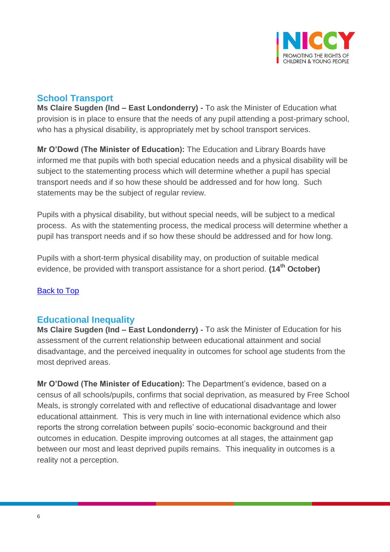

## <span id="page-5-0"></span>**School Transport**

**Ms Claire Sugden (Ind – East Londonderry) -** To ask the Minister of Education what provision is in place to ensure that the needs of any pupil attending a post-primary school, who has a physical disability, is appropriately met by school transport services.

**Mr O'Dowd (The Minister of Education):** The Education and Library Boards have informed me that pupils with both special education needs and a physical disability will be subject to the statementing process which will determine whether a pupil has special transport needs and if so how these should be addressed and for how long. Such statements may be the subject of regular review.

Pupils with a physical disability, but without special needs, will be subject to a medical process. As with the statementing process, the medical process will determine whether a pupil has transport needs and if so how these should be addressed and for how long.

Pupils with a short-term physical disability may, on production of suitable medical evidence, be provided with transport assistance for a short period. **(14th October)**

#### [Back to Top](#page-0-0)

#### <span id="page-5-1"></span>**Educational Inequality**

**Ms Claire Sugden (Ind – East Londonderry) -** To ask the Minister of Education for his assessment of the current relationship between educational attainment and social disadvantage, and the perceived inequality in outcomes for school age students from the most deprived areas.

**Mr O'Dowd (The Minister of Education):** The Department's evidence, based on a census of all schools/pupils, confirms that social deprivation, as measured by Free School Meals, is strongly correlated with and reflective of educational disadvantage and lower educational attainment. This is very much in line with international evidence which also reports the strong correlation between pupils' socio-economic background and their outcomes in education. Despite improving outcomes at all stages, the attainment gap between our most and least deprived pupils remains. This inequality in outcomes is a reality not a perception.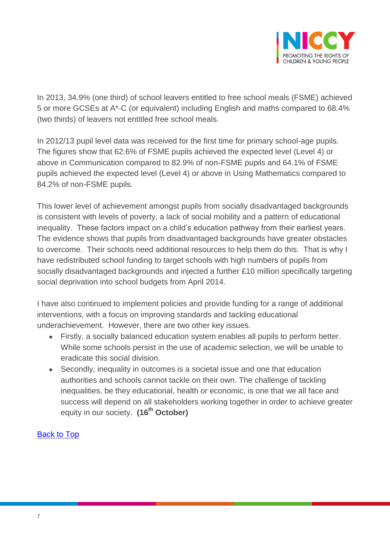

In 2013, 34.9% (one third) of school leavers entitled to free school meals (FSME) achieved 5 or more GCSEs at A\*-C (or equivalent) including English and maths compared to 68.4% (two thirds) of leavers not entitled free school meals.

In 2012/13 pupil level data was received for the first time for primary school-age pupils. The figures show that 62.6% of FSME pupils achieved the expected level (Level 4) or above in Communication compared to 82.9% of non-FSME pupils and 64.1% of FSME pupils achieved the expected level (Level 4) or above in Using Mathematics compared to 84.2% of non-FSME pupils.

This lower level of achievement amongst pupils from socially disadvantaged backgrounds is consistent with levels of poverty, a lack of social mobility and a pattern of educational inequality. These factors impact on a child's education pathway from their earliest years. The evidence shows that pupils from disadvantaged backgrounds have greater obstacles to overcome. Their schools need additional resources to help them do this. That is why I have redistributed school funding to target schools with high numbers of pupils from socially disadvantaged backgrounds and injected a further £10 million specifically targeting social deprivation into school budgets from April 2014.

I have also continued to implement policies and provide funding for a range of additional interventions, with a focus on improving standards and tackling educational underachievement. However, there are two other key issues.

- Firstly, a socially balanced education system enables all pupils to perform better. While some schools persist in the use of academic selection, we will be unable to eradicate this social division.
- Secondly, inequality in outcomes is a societal issue and one that education authorities and schools cannot tackle on their own. The challenge of tackling inequalities, be they educational, health or economic, is one that we all face and success will depend on all stakeholders working together in order to achieve greater equity in our society. **(16th October)**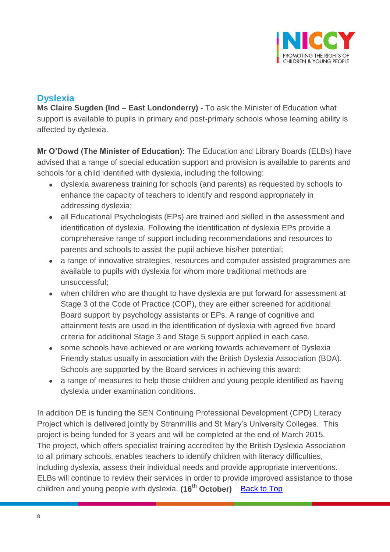

## <span id="page-7-0"></span>**Dyslexia**

**Ms Claire Sugden (Ind – East Londonderry) -** To ask the Minister of Education what support is available to pupils in primary and post-primary schools whose learning ability is affected by dyslexia.

**Mr O'Dowd (The Minister of Education):** The Education and Library Boards (ELBs) have advised that a range of special education support and provision is available to parents and schools for a child identified with dyslexia, including the following:

- dyslexia awareness training for schools (and parents) as requested by schools to enhance the capacity of teachers to identify and respond appropriately in addressing dyslexia;
- all Educational Psychologists (EPs) are trained and skilled in the assessment and identification of dyslexia. Following the identification of dyslexia EPs provide a comprehensive range of support including recommendations and resources to parents and schools to assist the pupil achieve his/her potential;
- a range of innovative strategies, resources and computer assisted programmes are available to pupils with dyslexia for whom more traditional methods are unsuccessful;
- when children who are thought to have dyslexia are put forward for assessment at Stage 3 of the Code of Practice (COP), they are either screened for additional Board support by psychology assistants or EPs. A range of cognitive and attainment tests are used in the identification of dyslexia with agreed five board criteria for additional Stage 3 and Stage 5 support applied in each case.
- some schools have achieved or are working towards achievement of Dyslexia Friendly status usually in association with the British Dyslexia Association (BDA). Schools are supported by the Board services in achieving this award;
- a range of measures to help those children and young people identified as having dyslexia under examination conditions.

In addition DE is funding the SEN Continuing Professional Development (CPD) Literacy Project which is delivered jointly by Stranmillis and St Mary's University Colleges. This project is being funded for 3 years and will be completed at the end of March 2015. The project, which offers specialist training accredited by the British Dyslexia Association to all primary schools, enables teachers to identify children with literacy difficulties, including dyslexia, assess their individual needs and provide appropriate interventions. ELBs will continue to review their services in order to provide improved assistance to those children and young people with dyslexia. (16<sup>th</sup> October) **[Back to Top](#page-0-0)**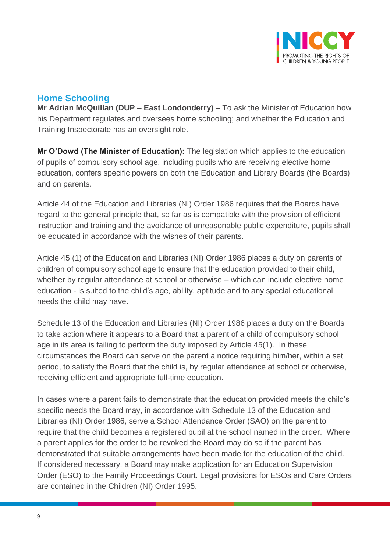

## <span id="page-8-0"></span>**Home Schooling**

**Mr Adrian McQuillan (DUP – East Londonderry) –** To ask the Minister of Education how his Department regulates and oversees home schooling; and whether the Education and Training Inspectorate has an oversight role.

**Mr O'Dowd (The Minister of Education):** The legislation which applies to the education of pupils of compulsory school age, including pupils who are receiving elective home education, confers specific powers on both the Education and Library Boards (the Boards) and on parents.

Article 44 of the Education and Libraries (NI) Order 1986 requires that the Boards have regard to the general principle that, so far as is compatible with the provision of efficient instruction and training and the avoidance of unreasonable public expenditure, pupils shall be educated in accordance with the wishes of their parents.

Article 45 (1) of the Education and Libraries (NI) Order 1986 places a duty on parents of children of compulsory school age to ensure that the education provided to their child, whether by regular attendance at school or otherwise – which can include elective home education - is suited to the child's age, ability, aptitude and to any special educational needs the child may have.

Schedule 13 of the Education and Libraries (NI) Order 1986 places a duty on the Boards to take action where it appears to a Board that a parent of a child of compulsory school age in its area is failing to perform the duty imposed by Article 45(1). In these circumstances the Board can serve on the parent a notice requiring him/her, within a set period, to satisfy the Board that the child is, by regular attendance at school or otherwise, receiving efficient and appropriate full-time education.

In cases where a parent fails to demonstrate that the education provided meets the child's specific needs the Board may, in accordance with Schedule 13 of the Education and Libraries (NI) Order 1986, serve a School Attendance Order (SAO) on the parent to require that the child becomes a registered pupil at the school named in the order. Where a parent applies for the order to be revoked the Board may do so if the parent has demonstrated that suitable arrangements have been made for the education of the child. If considered necessary, a Board may make application for an Education Supervision Order (ESO) to the Family Proceedings Court. Legal provisions for ESOs and Care Orders are contained in the Children (NI) Order 1995.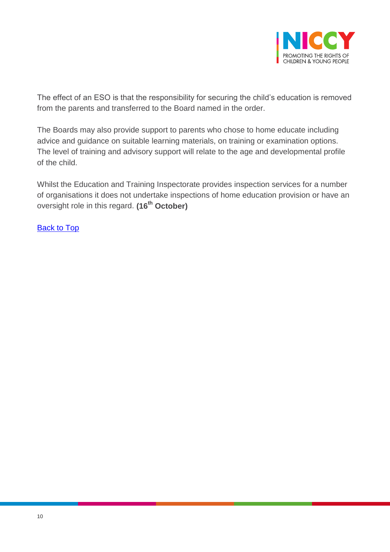

The effect of an ESO is that the responsibility for securing the child's education is removed from the parents and transferred to the Board named in the order.

The Boards may also provide support to parents who chose to home educate including advice and guidance on suitable learning materials, on training or examination options. The level of training and advisory support will relate to the age and developmental profile of the child.

Whilst the Education and Training Inspectorate provides inspection services for a number of organisations it does not undertake inspections of home education provision or have an oversight role in this regard. **(16th October)**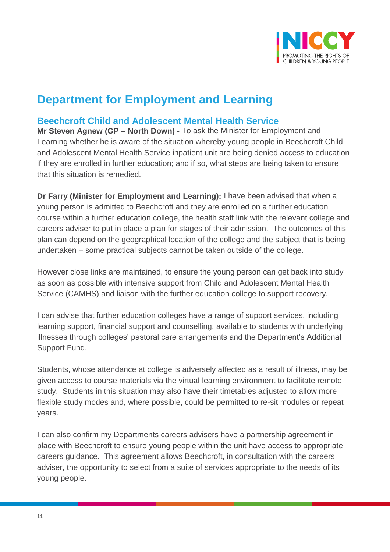

## **Department for Employment and Learning**

### <span id="page-10-0"></span>**Beechcroft Child and Adolescent Mental Health Service**

**Mr Steven Agnew (GP – North Down) -** To ask the Minister for Employment and Learning whether he is aware of the situation whereby young people in Beechcroft Child and Adolescent Mental Health Service inpatient unit are being denied access to education if they are enrolled in further education; and if so, what steps are being taken to ensure that this situation is remedied.

**Dr Farry (Minister for Employment and Learning):** I have been advised that when a young person is admitted to Beechcroft and they are enrolled on a further education course within a further education college, the health staff link with the relevant college and careers adviser to put in place a plan for stages of their admission. The outcomes of this plan can depend on the geographical location of the college and the subject that is being undertaken – some practical subjects cannot be taken outside of the college.

However close links are maintained, to ensure the young person can get back into study as soon as possible with intensive support from Child and Adolescent Mental Health Service (CAMHS) and liaison with the further education college to support recovery.

I can advise that further education colleges have a range of support services, including learning support, financial support and counselling, available to students with underlying illnesses through colleges' pastoral care arrangements and the Department's Additional Support Fund.

Students, whose attendance at college is adversely affected as a result of illness, may be given access to course materials via the virtual learning environment to facilitate remote study. Students in this situation may also have their timetables adjusted to allow more flexible study modes and, where possible, could be permitted to re-sit modules or repeat years.

I can also confirm my Departments careers advisers have a partnership agreement in place with Beechcroft to ensure young people within the unit have access to appropriate careers guidance. This agreement allows Beechcroft, in consultation with the careers adviser, the opportunity to select from a suite of services appropriate to the needs of its young people.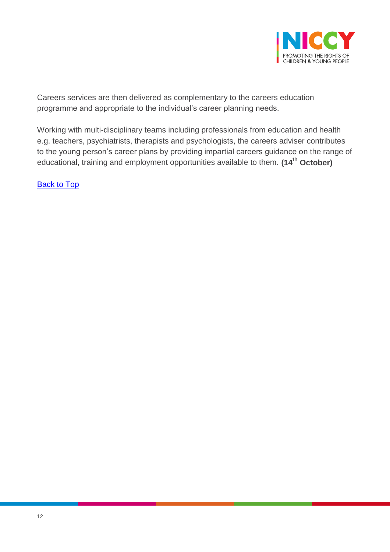

Careers services are then delivered as complementary to the careers education programme and appropriate to the individual's career planning needs.

Working with multi-disciplinary teams including professionals from education and health e.g. teachers, psychiatrists, therapists and psychologists, the careers adviser contributes to the young person's career plans by providing impartial careers guidance on the range of educational, training and employment opportunities available to them. **(14th October)**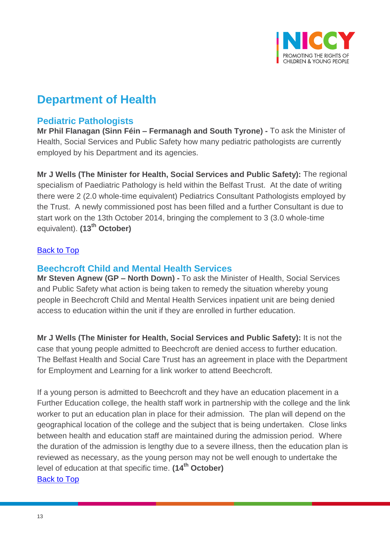

## **Department of Health**

### <span id="page-12-0"></span>**Pediatric Pathologists**

**Mr Phil Flanagan (Sinn Féin – Fermanagh and South Tyrone) -** To ask the Minister of Health, Social Services and Public Safety how many pediatric pathologists are currently employed by his Department and its agencies.

**Mr J Wells (The Minister for Health, Social Services and Public Safety):** The regional specialism of Paediatric Pathology is held within the Belfast Trust. At the date of writing there were 2 (2.0 whole-time equivalent) Pediatrics Consultant Pathologists employed by the Trust. A newly commissioned post has been filled and a further Consultant is due to start work on the 13th October 2014, bringing the complement to 3 (3.0 whole-time equivalent). **(13th October)**

#### [Back to Top](#page-0-0)

#### <span id="page-12-1"></span>**Beechcroft Child and Mental Health Services**

**Mr Steven Agnew (GP – North Down) -** To ask the Minister of Health, Social Services and Public Safety what action is being taken to remedy the situation whereby young people in Beechcroft Child and Mental Health Services inpatient unit are being denied access to education within the unit if they are enrolled in further education.

**Mr J Wells (The Minister for Health, Social Services and Public Safety):** It is not the case that young people admitted to Beechcroft are denied access to further education. The Belfast Health and Social Care Trust has an agreement in place with the Department for Employment and Learning for a link worker to attend Beechcroft.

If a young person is admitted to Beechcroft and they have an education placement in a Further Education college, the health staff work in partnership with the college and the link worker to put an education plan in place for their admission. The plan will depend on the geographical location of the college and the subject that is being undertaken. Close links between health and education staff are maintained during the admission period. Where the duration of the admission is lengthy due to a severe illness, then the education plan is reviewed as necessary, as the young person may not be well enough to undertake the level of education at that specific time. **(14th October)**  [Back to Top](#page-0-0)